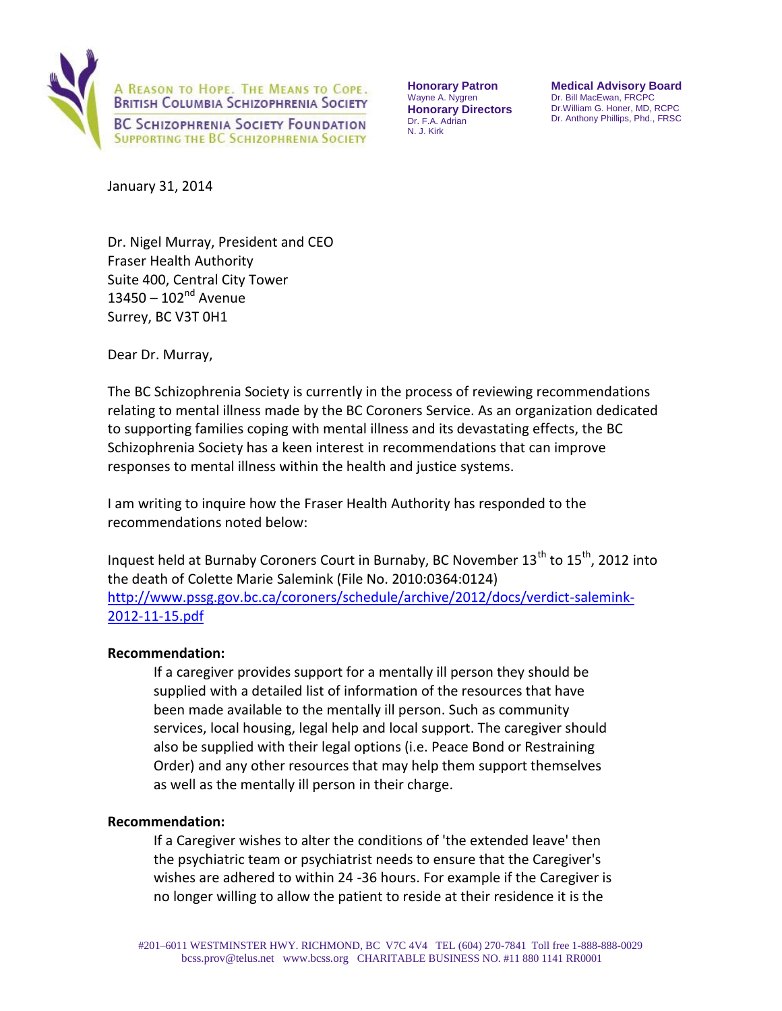

**Honorary Patron**  Wayne A. Nygren **Honorary Directors**  Dr. F.A. Adrian N. J. Kirk

**Medical Advisory Board**  Dr. Bill MacEwan, FRCPC Dr.William G. Honer, MD, RCPC Dr. Anthony Phillips, Phd., FRSC

January 31, 2014

Dr. Nigel Murray, President and CEO Fraser Health Authority Suite 400, Central City Tower  $13450 - 102^{nd}$  Avenue Surrey, BC V3T 0H1

Dear Dr. Murray,

The BC Schizophrenia Society is currently in the process of reviewing recommendations relating to mental illness made by the BC Coroners Service. As an organization dedicated to supporting families coping with mental illness and its devastating effects, the BC Schizophrenia Society has a keen interest in recommendations that can improve responses to mental illness within the health and justice systems.

I am writing to inquire how the Fraser Health Authority has responded to the recommendations noted below:

Inquest held at Burnaby Coroners Court in Burnaby, BC November 13<sup>th</sup> to 15<sup>th</sup>, 2012 into the death of Colette Marie Salemink (File No. 2010:0364:0124) [http://www.pssg.gov.bc.ca/coroners/schedule/archive/2012/docs/verdict-salemink-](http://www.pssg.gov.bc.ca/coroners/schedule/archive/2012/docs/verdict-salemink-2012-11-15.pdf)[2012-11-15.pdf](http://www.pssg.gov.bc.ca/coroners/schedule/archive/2012/docs/verdict-salemink-2012-11-15.pdf)

### **Recommendation:**

If a caregiver provides support for a mentally ill person they should be supplied with a detailed list of information of the resources that have been made available to the mentally ill person. Such as community services, local housing, legal help and local support. The caregiver should also be supplied with their legal options (i.e. Peace Bond or Restraining Order) and any other resources that may help them support themselves as well as the mentally ill person in their charge.

### **Recommendation:**

If a Caregiver wishes to alter the conditions of 'the extended leave' then the psychiatric team or psychiatrist needs to ensure that the Caregiver's wishes are adhered to within 24 -36 hours. For example if the Caregiver is no longer willing to allow the patient to reside at their residence it is the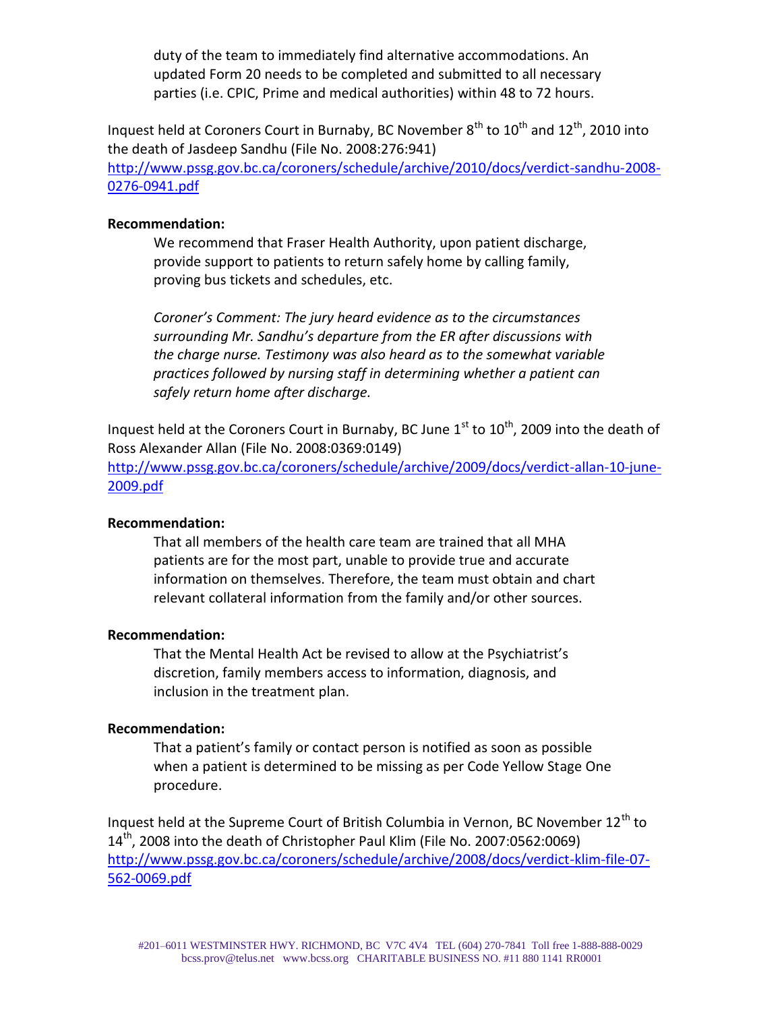duty of the team to immediately find alternative accommodations. An updated Form 20 needs to be completed and submitted to all necessary parties (i.e. CPIC, Prime and medical authorities) within 48 to 72 hours.

Inquest held at Coroners Court in Burnaby, BC November  $8^{th}$  to  $10^{th}$  and  $12^{th}$ , 2010 into the death of Jasdeep Sandhu (File No. 2008:276:941) [http://www.pssg.gov.bc.ca/coroners/schedule/archive/2010/docs/verdict-sandhu-2008-](http://www.pssg.gov.bc.ca/coroners/schedule/archive/2010/docs/verdict-sandhu-2008-0276-0941.pdf) [0276-0941.pdf](http://www.pssg.gov.bc.ca/coroners/schedule/archive/2010/docs/verdict-sandhu-2008-0276-0941.pdf)

### **Recommendation:**

We recommend that Fraser Health Authority, upon patient discharge, provide support to patients to return safely home by calling family, proving bus tickets and schedules, etc.

*Coroner's Comment: The jury heard evidence as to the circumstances surrounding Mr. Sandhu's departure from the ER after discussions with the charge nurse. Testimony was also heard as to the somewhat variable practices followed by nursing staff in determining whether a patient can safely return home after discharge.* 

Inquest held at the Coroners Court in Burnaby, BC June  $1<sup>st</sup>$  to  $10<sup>th</sup>$ , 2009 into the death of Ross Alexander Allan (File No. 2008:0369:0149)

[http://www.pssg.gov.bc.ca/coroners/schedule/archive/2009/docs/verdict-allan-10-june-](http://www.pssg.gov.bc.ca/coroners/schedule/archive/2009/docs/verdict-allan-10-june-2009.pdf)[2009.pdf](http://www.pssg.gov.bc.ca/coroners/schedule/archive/2009/docs/verdict-allan-10-june-2009.pdf)

# **Recommendation:**

That all members of the health care team are trained that all MHA patients are for the most part, unable to provide true and accurate information on themselves. Therefore, the team must obtain and chart relevant collateral information from the family and/or other sources.

# **Recommendation:**

That the Mental Health Act be revised to allow at the Psychiatrist's discretion, family members access to information, diagnosis, and inclusion in the treatment plan.

### **Recommendation:**

That a patient's family or contact person is notified as soon as possible when a patient is determined to be missing as per Code Yellow Stage One procedure.

Inquest held at the Supreme Court of British Columbia in Vernon, BC November  $12<sup>th</sup>$  to 14<sup>th</sup>, 2008 into the death of Christopher Paul Klim (File No. 2007:0562:0069) [http://www.pssg.gov.bc.ca/coroners/schedule/archive/2008/docs/verdict-klim-file-07-](http://www.pssg.gov.bc.ca/coroners/schedule/archive/2008/docs/verdict-klim-file-07-562-0069.pdf) [562-0069.pdf](http://www.pssg.gov.bc.ca/coroners/schedule/archive/2008/docs/verdict-klim-file-07-562-0069.pdf)